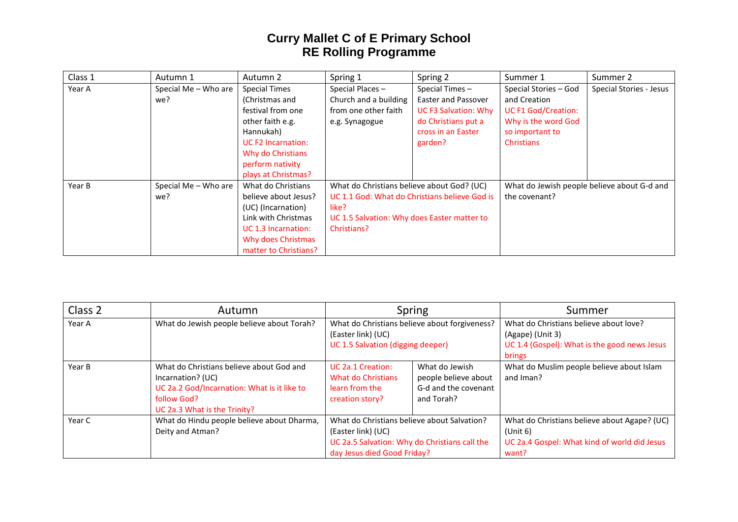## **Curry Mallet C of E Primary School RE Rolling Programme**

| Class 1 | Autumn 1             | Autumn 2                  | Spring 1                                      | Spring 2                    | Summer 1                                    | Summer 2                |
|---------|----------------------|---------------------------|-----------------------------------------------|-----------------------------|---------------------------------------------|-------------------------|
| Year A  | Special Me - Who are | <b>Special Times</b>      | Special Places -                              | Special Times-              | Special Stories - God                       | Special Stories - Jesus |
|         | we?                  | (Christmas and            | Church and a building                         | Easter and Passover         | and Creation                                |                         |
|         |                      | festival from one         | from one other faith                          | <b>UC F3 Salvation: Why</b> | <b>UC F1 God/Creation:</b>                  |                         |
|         |                      | other faith e.g.          | e.g. Synagogue                                | do Christians put a         | Why is the word God                         |                         |
|         |                      | Hannukah)                 |                                               | cross in an Easter          | so important to                             |                         |
|         |                      | <b>UC F2 Incarnation:</b> |                                               | garden?                     | <b>Christians</b>                           |                         |
|         |                      | Why do Christians         |                                               |                             |                                             |                         |
|         |                      | perform nativity          |                                               |                             |                                             |                         |
|         |                      | plays at Christmas?       |                                               |                             |                                             |                         |
| Year B  | Special Me - Who are | What do Christians        | What do Christians believe about God? (UC)    |                             | What do Jewish people believe about G-d and |                         |
|         | we?                  | believe about Jesus?      | UC 1.1 God: What do Christians believe God is |                             | the covenant?                               |                         |
|         |                      | (UC) (Incarnation)        | like?                                         |                             |                                             |                         |
|         |                      | Link with Christmas       | UC 1.5 Salvation: Why does Easter matter to   |                             |                                             |                         |
|         |                      | UC 1.3 Incarnation:       | Christians?                                   |                             |                                             |                         |
|         |                      | Why does Christmas        |                                               |                             |                                             |                         |
|         |                      | matter to Christians?     |                                               |                             |                                             |                         |

| Class 2 | Autumn                                                                                                                                                      | Spring                                                                                                                                            |                                                                              | Summer                                                                                                               |
|---------|-------------------------------------------------------------------------------------------------------------------------------------------------------------|---------------------------------------------------------------------------------------------------------------------------------------------------|------------------------------------------------------------------------------|----------------------------------------------------------------------------------------------------------------------|
| Year A  | What do Jewish people believe about Torah?                                                                                                                  | What do Christians believe about forgiveness?<br>(Easter link) (UC)<br>UC 1.5 Salvation (digging deeper)                                          |                                                                              | What do Christians believe about love?<br>(Agape) (Unit 3)<br>UC 1.4 (Gospel): What is the good news Jesus<br>brings |
| Year B  | What do Christians believe about God and<br>Incarnation? (UC)<br>UC 2a.2 God/Incarnation: What is it like to<br>follow God?<br>UC 2a.3 What is the Trinity? | UC 2a.1 Creation:<br>What do Christians<br>learn from the<br>creation story?                                                                      | What do Jewish<br>people believe about<br>G-d and the covenant<br>and Torah? | What do Muslim people believe about Islam<br>and Iman?                                                               |
| Year C  | What do Hindu people believe about Dharma,<br>Deity and Atman?                                                                                              | What do Christians believe about Salvation?<br>(Easter link) (UC)<br>UC 2a.5 Salvation: Why do Christians call the<br>day Jesus died Good Friday? |                                                                              | What do Christians believe about Agape? (UC)<br>(Unit 6)<br>UC 2a.4 Gospel: What kind of world did Jesus<br>want?    |